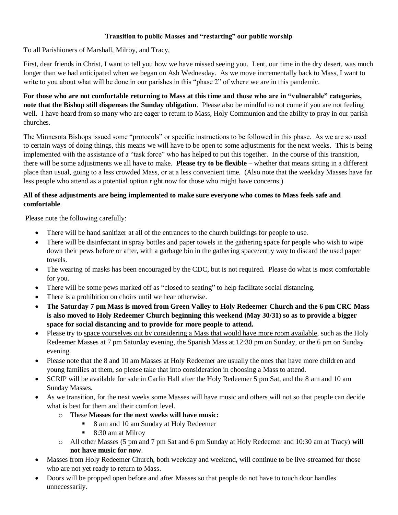## **Transition to public Masses and "restarting" our public worship**

To all Parishioners of Marshall, Milroy, and Tracy,

First, dear friends in Christ, I want to tell you how we have missed seeing you. Lent, our time in the dry desert, was much longer than we had anticipated when we began on Ash Wednesday. As we move incrementally back to Mass, I want to write to you about what will be done in our parishes in this "phase 2" of where we are in this pandemic.

**For those who are not comfortable returning to Mass at this time and those who are in "vulnerable" categories, note that the Bishop still dispenses the Sunday obligation**. Please also be mindful to not come if you are not feeling well. I have heard from so many who are eager to return to Mass, Holy Communion and the ability to pray in our parish churches.

The Minnesota Bishops issued some "protocols" or specific instructions to be followed in this phase. As we are so used to certain ways of doing things, this means we will have to be open to some adjustments for the next weeks. This is being implemented with the assistance of a "task force" who has helped to put this together. In the course of this transition, there will be some adjustments we all have to make. **Please try to be flexible** – whether that means sitting in a different place than usual, going to a less crowded Mass, or at a less convenient time. (Also note that the weekday Masses have far less people who attend as a potential option right now for those who might have concerns.)

## **All of these adjustments are being implemented to make sure everyone who comes to Mass feels safe and comfortable**.

Please note the following carefully:

- There will be hand sanitizer at all of the entrances to the church buildings for people to use.
- There will be disinfectant in spray bottles and paper towels in the gathering space for people who wish to wipe down their pews before or after, with a garbage bin in the gathering space/entry way to discard the used paper towels.
- The wearing of masks has been encouraged by the CDC, but is not required. Please do what is most comfortable for you.
- There will be some pews marked off as "closed to seating" to help facilitate social distancing.
- There is a prohibition on choirs until we hear otherwise.
- **The Saturday 7 pm Mass is moved from Green Valley to Holy Redeemer Church and the 6 pm CRC Mass is also moved to Holy Redeemer Church beginning this weekend (May 30/31) so as to provide a bigger space for social distancing and to provide for more people to attend.**
- Please try to space yourselves out by considering a Mass that would have more room available, such as the Holy Redeemer Masses at 7 pm Saturday evening, the Spanish Mass at 12:30 pm on Sunday, or the 6 pm on Sunday evening.
- Please note that the 8 and 10 am Masses at Holy Redeemer are usually the ones that have more children and young families at them, so please take that into consideration in choosing a Mass to attend.
- SCRIP will be available for sale in Carlin Hall after the Holy Redeemer 5 pm Sat, and the 8 am and 10 am Sunday Masses.
- As we transition, for the next weeks some Masses will have music and others will not so that people can decide what is best for them and their comfort level.
	- o These **Masses for the next weeks will have music:**
		- 8 am and 10 am Sunday at Holy Redeemer
		- 8:30 am at Milroy
	- o All other Masses (5 pm and 7 pm Sat and 6 pm Sunday at Holy Redeemer and 10:30 am at Tracy) **will not have music for now**.
- Masses from Holy Redeemer Church, both weekday and weekend, will continue to be live-streamed for those who are not yet ready to return to Mass.
- Doors will be propped open before and after Masses so that people do not have to touch door handles unnecessarily.